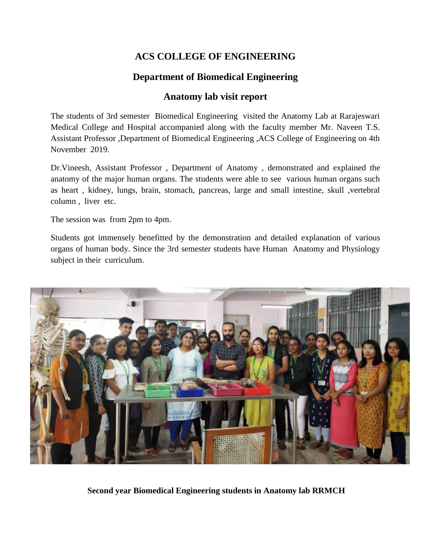## **ACS COLLEGE OF ENGINEERING**

## **Department of Biomedical Engineering**

## **Anatomy lab visit report**

The students of 3rd semester Biomedical Engineering visited the Anatomy Lab at Rarajeswari Medical College and Hospital accompanied along with the faculty member Mr. Naveen T.S. Assistant Professor ,Department of Biomedical Engineering ,ACS College of Engineering on 4th November 2019.

Dr.Vineesh, Assistant Professor , Department of Anatomy , demonstrated and explained the anatomy of the major human organs. The students were able to see various human organs such as heart , kidney, lungs, brain, stomach, pancreas, large and small intestine, skull ,vertebral column , liver etc.

The session was from 2pm to 4pm.

Students got immensely benefitted by the demonstration and detailed explanation of various organs of human body. Since the 3rd semester students have Human Anatomy and Physiology subject in their curriculum.



**Second year Biomedical Engineering students in Anatomy lab RRMCH**